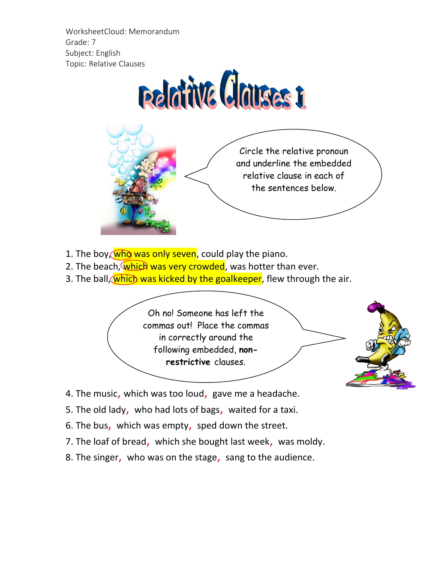WorksheetCloud: Memorandum Grade: 7 Subject: English Topic: Relative Clauses



Circle the relative pronoun and underline the embedded relative clause in each of the sentences below.

- 1. The boy, who was only seven, could play the piano.
- 2. The beach, which was very crowded, was hotter than ever.
- 3. The ball, which was kicked by the goalkeeper, flew through the air.

Oh no! Someone has left the commas out! Place the commas in correctly around the following embedded, **nonrestrictive** clauses.



- 4. The music, which was too loud, gave me a headache.
- 5. The old lady, who had lots of bags, waited for a taxi.
- 6. The bus, which was empty, sped down the street.
- 7. The loaf of bread, which she bought last week, was moldy.
- 8. The singer, who was on the stage, sang to the audience.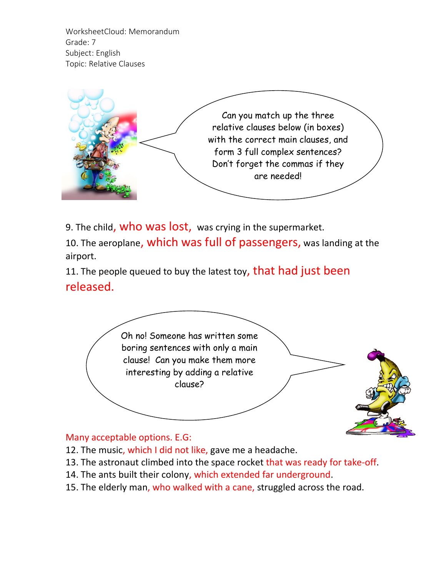WorksheetCloud: Memorandum Grade: 7 Subject: English Topic: Relative Clauses



9. The child, who was lost, was crying in the supermarket.

10. The aeroplane, which was full of passengers, was landing at the airport.

11. The people queued to buy the latest toy, that had just been released.



## Many acceptable options. E.G:

- 12. The music, which I did not like, gave me a headache.
- 13. The astronaut climbed into the space rocket that was ready for take-off.
- 14. The ants built their colony, which extended far underground.
- 15. The elderly man, who walked with a cane, struggled across the road.